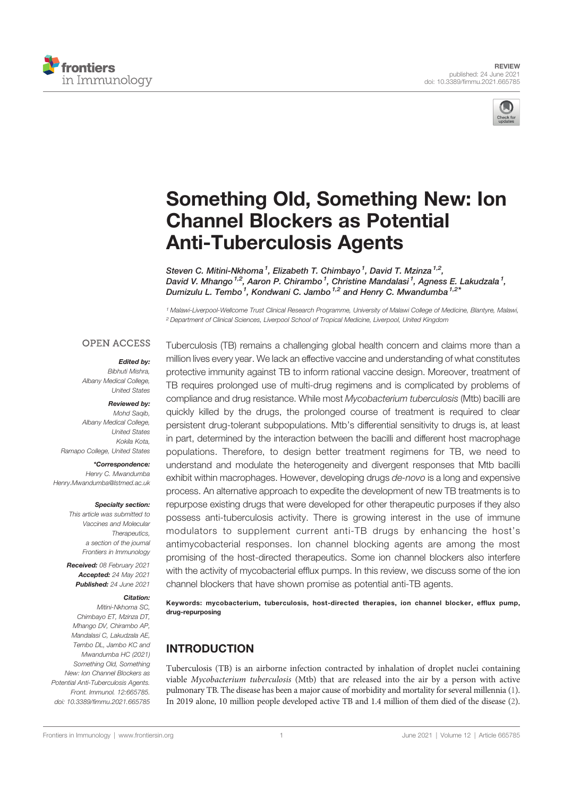



# Something Old, Something New: Ion Channel Blockers as Potential Anti-Tuberculosis Agents

Steven C. Mitini-Nkhoma<sup>1</sup>, Elizabeth T. Chimbayo<sup>1</sup>, David T. Mzinza<sup>1,2</sup>, David V. Mhango <sup>1,2</sup>, Aaron P. Chirambo <sup>1</sup>, Christine Mandalasi <sup>1</sup>, Agness E. Lakudzala <sup>1</sup>, Dumizulu L. Tembo<sup>1</sup>, Kondwani C. Jambo<sup>1,2</sup> and Henry C. Mwandumba<sup>1,2\*</sup>

<sup>1</sup> Malawi-Liverpool-Wellcome Trust Clinical Research Programme, University of Malawi College of Medicine, Blantyre, Malawi, <sup>2</sup> Department of Clinical Sciences, Liverpool School of Tropical Medicine, Liverpool, United Kingdom

## **OPEN ACCESS**

# Edited by:

Bibhuti Mishra, Albany Medical College, United States

#### Reviewed by:

Mohd Saqib. Albany Medical College, United States Kokila Kota, Ramapo College, United States

\*Correspondence: Henry C. Mwandumba Henry.Mwandumba@lstmed.ac.uk

#### Specialty section:

This article was submitted to Vaccines and Molecular Therapeutics, a section of the journal Frontiers in Immunology

Received: 08 February 2021 Accepted: 24 May 2021 Published: 24 June 2021

## Citation:

Mitini-Nkhoma SC, Chimbayo ET, Mzinza DT, Mhango DV, Chirambo AP, Mandalasi C, Lakudzala AE, Tembo DL, Jambo KC and Mwandumba HC (2021) Something Old, Something New: Ion Channel Blockers as Potential Anti-Tuberculosis Agents. Front. Immunol. 12:665785. doi: 10.3389/fimmu.2021.665785

Tuberculosis (TB) remains a challenging global health concern and claims more than a million lives every year. We lack an effective vaccine and understanding of what constitutes protective immunity against TB to inform rational vaccine design. Moreover, treatment of TB requires prolonged use of multi-drug regimens and is complicated by problems of compliance and drug resistance. While most Mycobacterium tuberculosis (Mtb) bacilli are quickly killed by the drugs, the prolonged course of treatment is required to clear persistent drug-tolerant subpopulations. Mtb's differential sensitivity to drugs is, at least in part, determined by the interaction between the bacilli and different host macrophage populations. Therefore, to design better treatment regimens for TB, we need to understand and modulate the heterogeneity and divergent responses that Mtb bacilli exhibit within macrophages. However, developing drugs de-novo is a long and expensive process. An alternative approach to expedite the development of new TB treatments is to repurpose existing drugs that were developed for other therapeutic purposes if they also possess anti-tuberculosis activity. There is growing interest in the use of immune modulators to supplement current anti-TB drugs by enhancing the host's antimycobacterial responses. Ion channel blocking agents are among the most promising of the host-directed therapeutics. Some ion channel blockers also interfere with the activity of mycobacterial efflux pumps. In this review, we discuss some of the ion channel blockers that have shown promise as potential anti-TB agents.

Keywords: mycobacterium, tuberculosis, host-directed therapies, ion channel blocker, efflux pump, drug-repurposing

# **INTRODUCTION**

Tuberculosis (TB) is an airborne infection contracted by inhalation of droplet nuclei containing viable Mycobacterium tuberculosis (Mtb) that are released into the air by a person with active pulmonary TB. The disease has been a major cause of morbidity and mortality for several millennia (1). In 2019 alone, 10 million people developed active TB and 1.4 million of them died of the disease (2).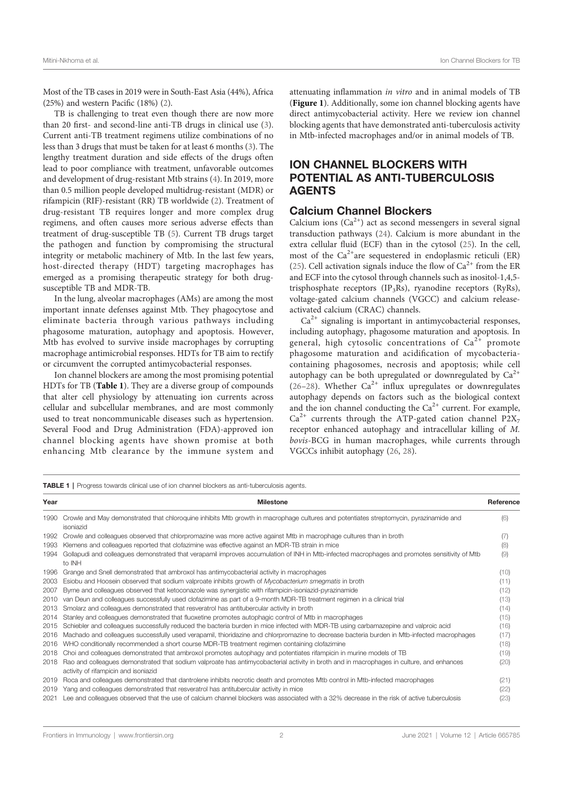Most of the TB cases in 2019 were in South-East Asia (44%), Africa (25%) and western Pacific (18%) (2).

TB is challenging to treat even though there are now more than 20 first- and second-line anti-TB drugs in clinical use (3). Current anti-TB treatment regimens utilize combinations of no less than 3 drugs that must be taken for at least 6 months (3). The lengthy treatment duration and side effects of the drugs often lead to poor compliance with treatment, unfavorable outcomes and development of drug-resistant Mtb strains (4). In 2019, more than 0.5 million people developed multidrug-resistant (MDR) or rifampicin (RIF)-resistant (RR) TB worldwide (2). Treatment of drug-resistant TB requires longer and more complex drug regimens, and often causes more serious adverse effects than treatment of drug-susceptible TB (5). Current TB drugs target the pathogen and function by compromising the structural integrity or metabolic machinery of Mtb. In the last few years, host-directed therapy (HDT) targeting macrophages has emerged as a promising therapeutic strategy for both drugsusceptible TB and MDR-TB.

In the lung, alveolar macrophages (AMs) are among the most important innate defenses against Mtb. They phagocytose and eliminate bacteria through various pathways including phagosome maturation, autophagy and apoptosis. However, Mtb has evolved to survive inside macrophages by corrupting macrophage antimicrobial responses. HDTs for TB aim to rectify or circumvent the corrupted antimycobacterial responses.

Ion channel blockers are among the most promising potential HDTs for TB (Table 1). They are a diverse group of compounds that alter cell physiology by attenuating ion currents across cellular and subcellular membranes, and are most commonly used to treat noncommunicable diseases such as hypertension. Several Food and Drug Administration (FDA)-approved ion channel blocking agents have shown promise at both enhancing Mtb clearance by the immune system and attenuating inflammation in vitro and in animal models of TB (Figure 1). Additionally, some ion channel blocking agents have direct antimycobacterial activity. Here we review ion channel blocking agents that have demonstrated anti-tuberculosis activity in Mtb-infected macrophages and/or in animal models of TB.

# ION CHANNEL BLOCKERS WITH POTENTIAL AS ANTI-TUBERCULOSIS AGENTS

## Calcium Channel Blockers

Calcium ions  $(Ca^{2+})$  act as second messengers in several signal transduction pathways (24). Calcium is more abundant in the extra cellular fluid (ECF) than in the cytosol (25). In the cell, most of the  $Ca^{2+}$ are sequestered in endoplasmic reticuli (ER) (25). Cell activation signals induce the flow of  $Ca^{2+}$  from the ER and ECF into the cytosol through channels such as inositol-1,4,5 trisphosphate receptors (IP3Rs), ryanodine receptors (RyRs), voltage-gated calcium channels (VGCC) and calcium releaseactivated calcium (CRAC) channels.

 $Ca<sup>2+</sup>$  signaling is important in antimycobacterial responses, including autophagy, phagosome maturation and apoptosis. In general, high cytosolic concentrations of  $Ca<sup>2+</sup>$  promote phagosome maturation and acidification of mycobacteriacontaining phagosomes, necrosis and apoptosis; while cell autophagy can be both upregulated or downregulated by  $Ca^{2+}$ (26–28). Whether  $Ca^{2+}$  influx upregulates or downregulates autophagy depends on factors such as the biological context and the ion channel conducting the  $Ca<sup>2+</sup>$  current. For example,  $Ca^{2+}$  currents through the ATP-gated cation channel P2X<sub>7</sub> receptor enhanced autophagy and intracellular killing of M. bovis-BCG in human macrophages, while currents through VGCCs inhibit autophagy (26, 28).

TABLE 1 | Progress towards clinical use of ion channel blockers as anti-tuberculosis agents.

| Year | <b>Milestone</b>                                                                                                                                                                  | Reference |
|------|-----------------------------------------------------------------------------------------------------------------------------------------------------------------------------------|-----------|
|      | 1990 Crowle and May demonstrated that chloroquine inhibits Mtb growth in macrophage cultures and potentiates streptomycin, pyrazinamide and<br>isoniazid                          | (6)       |
| 1992 | Crowle and colleagues observed that chlorpromazine was more active against Mtb in macrophage cultures than in broth                                                               | (7)       |
| 1993 | Klemens and colleagues reported that clofazimine was effective against an MDR-TB strain in mice                                                                                   | (8)       |
| 1994 | Gollapudi and colleagues demonstrated that verapamil improves accumulation of INH in Mtb-infected macrophages and promotes sensitivity of Mtb<br>to INH                           | (9)       |
| 1996 | Grange and Snell demonstrated that ambroxol has antimycobacterial activity in macrophages                                                                                         | (10)      |
| 2003 | Esiobu and Hoosein observed that sodium valproate inhibits growth of Mycobacterium smegmatis in broth                                                                             | (11)      |
| 2007 | Byrne and colleagues observed that ketoconazole was synergistic with rifampicin-isoniazid-pyrazinamide                                                                            | (12)      |
| 2010 | van Deun and colleagues successfully used clofazimine as part of a 9-month MDR-TB treatment regimen in a clinical trial                                                           | (13)      |
| 2013 | Smolarz and colleagues demonstrated that resveratrol has antitubercular activity in broth                                                                                         | (14)      |
| 2014 | Stanley and colleagues demonstrated that fluoxetine promotes autophagic control of Mtb in macrophages                                                                             | (15)      |
| 2015 | Schiebler and colleagues successfully reduced the bacteria burden in mice infected with MDR-TB using carbamazepine and valproic acid                                              | (16)      |
| 2016 | Machado and colleagues successfully used verapamil, thioridazine and chlorpromazine to decrease bacteria burden in Mtb-infected macrophages                                       | (17)      |
| 2016 | WHO conditionally recommended a short course MDR-TB treatment regimen containing clofazimine                                                                                      | (18)      |
| 2018 | Choi and colleagues demonstrated that ambroxol promotes autophagy and potentiates rifampicin in murine models of TB                                                               | (19)      |
| 2018 | Rao and colleagues demonstrated that sodium valproate has antimycobacterial activity in broth and in macrophages in culture, and enhances<br>activity of rifampicin and isoniazid | (20)      |
| 2019 | Roca and colleagues demonstrated that dantrolene inhibits necrotic death and promotes Mtb control in Mtb-infected macrophages                                                     | (21)      |
| 2019 | Yang and colleagues demonstrated that resveratrol has antitubercular activity in mice                                                                                             | (22)      |
| 2021 | Lee and colleagues observed that the use of calcium channel blockers was associated with a 32% decrease in the risk of active tuberculosis                                        | (23)      |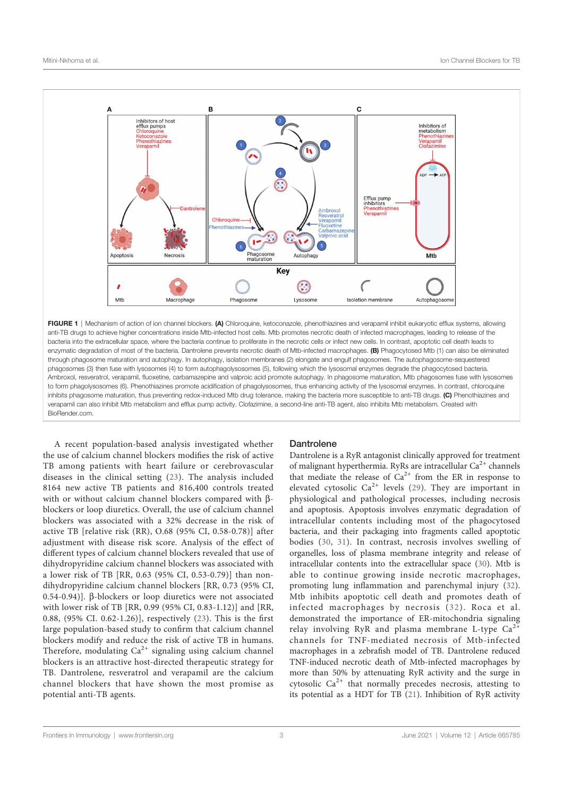

FIGURE 1 | Mechanism of action of ion channel blockers. (A) Chloroquine, ketoconazole, phenothiazines and verapamil inhibit eukaryotic efflux systems, allowing anti-TB drugs to achieve higher concentrations inside Mtb-infected host cells. Mtb promotes necrotic death of infected macrophages, leading to release of the bacteria into the extracellular space, where the bacteria continue to proliferate in the necrotic cells or infect new cells. In contrast, apoptotic cell death leads to enzymatic degradation of most of the bacteria. Dantrolene prevents necrotic death of Mtb-infected macrophages. (B) Phagocytosed Mtb (1) can also be eliminated through phagosome maturation and autophagy. In autophagy, isolation membranes (2) elongate and engulf phagosomes. The autophagosome-sequestered phagosomes (3) then fuse with lysosomes (4) to form autophagolysosomes (5), following which the lysosomal enzymes degrade the phagocytosed bacteria. Ambroxol, resveratrol, verapamil, fluoxetine, carbamazepine and valproic acid promote autophagy. In phagosome maturation, Mtb phagosomes fuse with lysosomes to form phagolysosomes (6). Phenothiazines promote acidification of phagolysosomes, thus enhancing activity of the lysosomal enzymes. In contrast, chloroquine inhibits phagosome maturation, thus preventing redox-induced Mtb drug tolerance, making the bacteria more susceptible to anti-TB drugs. (C) Phenothiazines and verapamil can also inhibit Mtb metabolism and efflux pump activity. Clofazimine, a second-line anti-TB agent, also inhibits Mtb metabolism. Created with BioRender.com.

A recent population-based analysis investigated whether the use of calcium channel blockers modifies the risk of active TB among patients with heart failure or cerebrovascular diseases in the clinical setting (23). The analysis included 8164 new active TB patients and 816,400 controls treated with or without calcium channel blockers compared with  $\beta$ blockers or loop diuretics. Overall, the use of calcium channel blockers was associated with a 32% decrease in the risk of active TB [relative risk (RR), O.68 (95% CI, 0.58-0.78)] after adjustment with disease risk score. Analysis of the effect of different types of calcium channel blockers revealed that use of dihydropyridine calcium channel blockers was associated with a lower risk of TB [RR, 0.63 (95% CI, 0.53-0.79)] than nondihydropyridine calcium channel blockers [RR, 0.73 (95% CI, 0.54-0.94)]. B-blockers or loop diuretics were not associated with lower risk of TB [RR, 0.99 (95% CI, 0.83-1.12)] and [RR, 0.88, (95% CI. 0.62-1.26)], respectively (23). This is the first large population-based study to confirm that calcium channel blockers modify and reduce the risk of active TB in humans. Therefore, modulating  $Ca^{2+}$  signaling using calcium channel blockers is an attractive host-directed therapeutic strategy for TB. Dantrolene, resveratrol and verapamil are the calcium channel blockers that have shown the most promise as potential anti-TB agents.

#### **Dantrolene**

Dantrolene is a RyR antagonist clinically approved for treatment of malignant hyperthermia. RyRs are intracellular Ca<sup>2+</sup> channels that mediate the release of  $Ca^{2+}$  from the ER in response to elevated cytosolic  $Ca^{2+}$  levels (29). They are important in physiological and pathological processes, including necrosis and apoptosis. Apoptosis involves enzymatic degradation of intracellular contents including most of the phagocytosed bacteria, and their packaging into fragments called apoptotic bodies (30, 31). In contrast, necrosis involves swelling of organelles, loss of plasma membrane integrity and release of intracellular contents into the extracellular space (30). Mtb is able to continue growing inside necrotic macrophages, promoting lung inflammation and parenchymal injury (32). Mtb inhibits apoptotic cell death and promotes death of infected macrophages by necrosis (32). Roca et al. demonstrated the importance of ER-mitochondria signaling relay involving RyR and plasma membrane L-type  $Ca^{2+}$ channels for TNF-mediated necrosis of Mtb-infected macrophages in a zebrafish model of TB. Dantrolene reduced TNF-induced necrotic death of Mtb-infected macrophages by more than 50% by attenuating RyR activity and the surge in cytosolic  $Ca^{2+}$  that normally precedes necrosis, attesting to its potential as a HDT for TB (21). Inhibition of RyR activity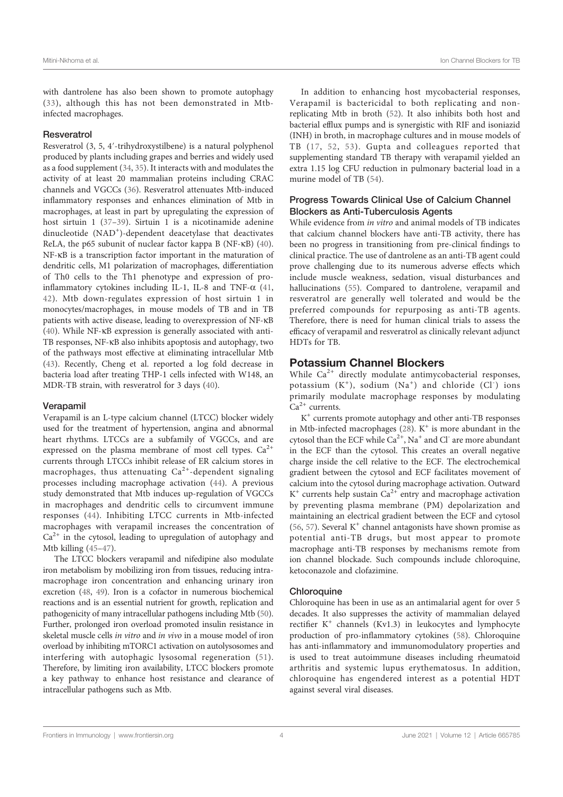with dantrolene has also been shown to promote autophagy (33), although this has not been demonstrated in Mtbinfected macrophages.

#### **Resveratrol**

Resveratrol (3, 5, 4′‐trihydroxystilbene) is a natural polyphenol produced by plants including grapes and berries and widely used as a food supplement (34, 35). It interacts with and modulates the activity of at least 20 mammalian proteins including CRAC channels and VGCCs (36). Resveratrol attenuates Mtb-induced inflammatory responses and enhances elimination of Mtb in macrophages, at least in part by upregulating the expression of host sirtuin 1 (37–39). Sirtuin 1 is a nicotinamide adenine dinucleotide (NAD<sup>+</sup>)-dependent deacetylase that deactivates ReLA, the p65 subunit of nuclear factor kappa B (NF-kB) (40). NF-kB is a transcription factor important in the maturation of dendritic cells, M1 polarization of macrophages, differentiation of Th0 cells to the Th1 phenotype and expression of proinflammatory cytokines including IL-1, IL-8 and TNF- $\alpha$  (41, 42). Mtb down-regulates expression of host sirtuin 1 in monocytes/macrophages, in mouse models of TB and in TB patients with active disease, leading to overexpression of NF-kB (40). While NF-kB expression is generally associated with anti-TB responses, NF-kB also inhibits apoptosis and autophagy, two of the pathways most effective at eliminating intracellular Mtb (43). Recently, Cheng et al. reported a log fold decrease in bacteria load after treating THP-1 cells infected with W148, an MDR-TB strain, with resveratrol for 3 days (40).

#### Verapamil

Verapamil is an L-type calcium channel (LTCC) blocker widely used for the treatment of hypertension, angina and abnormal heart rhythms. LTCCs are a subfamily of VGCCs, and are expressed on the plasma membrane of most cell types.  $Ca^{2+}$ currents through LTCCs inhibit release of ER calcium stores in macrophages, thus attenuating  $Ca^{2+}$ -dependent signaling processes including macrophage activation (44). A previous study demonstrated that Mtb induces up-regulation of VGCCs in macrophages and dendritic cells to circumvent immune responses (44). Inhibiting LTCC currents in Mtb-infected macrophages with verapamil increases the concentration of  $Ca<sup>2+</sup>$  in the cytosol, leading to upregulation of autophagy and Mtb killing (45–47).

The LTCC blockers verapamil and nifedipine also modulate iron metabolism by mobilizing iron from tissues, reducing intramacrophage iron concentration and enhancing urinary iron excretion (48, 49). Iron is a cofactor in numerous biochemical reactions and is an essential nutrient for growth, replication and pathogenicity of many intracellular pathogens including Mtb (50). Further, prolonged iron overload promoted insulin resistance in skeletal muscle cells in vitro and in vivo in a mouse model of iron overload by inhibiting mTORC1 activation on autolysosomes and interfering with autophagic lysosomal regeneration (51). Therefore, by limiting iron availability, LTCC blockers promote a key pathway to enhance host resistance and clearance of intracellular pathogens such as Mtb.

In addition to enhancing host mycobacterial responses, Verapamil is bactericidal to both replicating and nonreplicating Mtb in broth (52). It also inhibits both host and bacterial efflux pumps and is synergistic with RIF and isoniazid (INH) in broth, in macrophage cultures and in mouse models of TB (17, 52, 53). Gupta and colleagues reported that supplementing standard TB therapy with verapamil yielded an extra 1.15 log CFU reduction in pulmonary bacterial load in a murine model of TB (54).

## Progress Towards Clinical Use of Calcium Channel Blockers as Anti-Tuberculosis Agents

While evidence from in vitro and animal models of TB indicates that calcium channel blockers have anti-TB activity, there has been no progress in transitioning from pre-clinical findings to clinical practice. The use of dantrolene as an anti-TB agent could prove challenging due to its numerous adverse effects which include muscle weakness, sedation, visual disturbances and hallucinations (55). Compared to dantrolene, verapamil and resveratrol are generally well tolerated and would be the preferred compounds for repurposing as anti-TB agents. Therefore, there is need for human clinical trials to assess the efficacy of verapamil and resveratrol as clinically relevant adjunct HDTs for TB.

## Potassium Channel Blockers

While  $Ca^{2+}$  directly modulate antimycobacterial responses, potassium (K<sup>+</sup>), sodium (Na<sup>+</sup>) and chloride (Cl<sup>-</sup>) ions primarily modulate macrophage responses by modulating  $Ca^{2+}$  currents.

K+ currents promote autophagy and other anti-TB responses in Mtb-infected macrophages  $(28)$ . K<sup>+</sup> is more abundant in the cytosol than the ECF while  $Ca^{2+}$ , Na<sup>+</sup> and Cl<sup>-</sup> are more abundant in the ECF than the cytosol. This creates an overall negative charge inside the cell relative to the ECF. The electrochemical gradient between the cytosol and ECF facilitates movement of calcium into the cytosol during macrophage activation. Outward  $K^+$  currents help sustain  $Ca^{2+}$  entry and macrophage activation by preventing plasma membrane (PM) depolarization and maintaining an electrical gradient between the ECF and cytosol (56, 57). Several  $K^+$  channel antagonists have shown promise as potential anti-TB drugs, but most appear to promote macrophage anti-TB responses by mechanisms remote from ion channel blockade. Such compounds include chloroquine, ketoconazole and clofazimine.

## **Chloroquine**

Chloroquine has been in use as an antimalarial agent for over 5 decades. It also suppresses the activity of mammalian delayed rectifier  $K^+$  channels (Kv1.3) in leukocytes and lymphocyte production of pro-inflammatory cytokines (58). Chloroquine has anti-inflammatory and immunomodulatory properties and is used to treat autoimmune diseases including rheumatoid arthritis and systemic lupus erythematosus. In addition, chloroquine has engendered interest as a potential HDT against several viral diseases.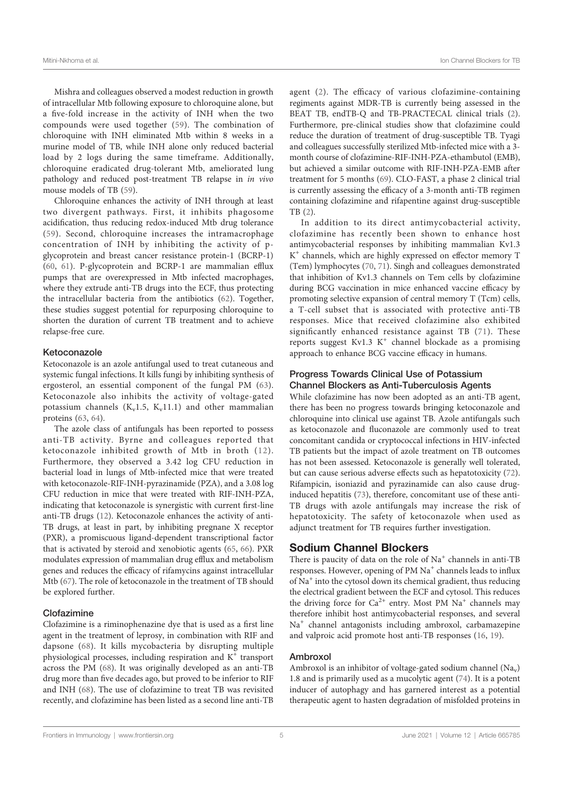Mishra and colleagues observed a modest reduction in growth of intracellular Mtb following exposure to chloroquine alone, but a five-fold increase in the activity of INH when the two compounds were used together (59). The combination of chloroquine with INH eliminated Mtb within 8 weeks in a murine model of TB, while INH alone only reduced bacterial load by 2 logs during the same timeframe. Additionally, chloroquine eradicated drug-tolerant Mtb, ameliorated lung pathology and reduced post-treatment TB relapse in in vivo mouse models of TB (59).

Chloroquine enhances the activity of INH through at least two divergent pathways. First, it inhibits phagosome acidification, thus reducing redox-induced Mtb drug tolerance (59). Second, chloroquine increases the intramacrophage concentration of INH by inhibiting the activity of pglycoprotein and breast cancer resistance protein-1 (BCRP-1) (60, 61). P-glycoprotein and BCRP-1 are mammalian efflux pumps that are overexpressed in Mtb infected macrophages, where they extrude anti-TB drugs into the ECF, thus protecting the intracellular bacteria from the antibiotics (62). Together, these studies suggest potential for repurposing chloroquine to shorten the duration of current TB treatment and to achieve relapse-free cure.

#### Ketoconazole

Ketoconazole is an azole antifungal used to treat cutaneous and systemic fungal infections. It kills fungi by inhibiting synthesis of ergosterol, an essential component of the fungal PM (63). Ketoconazole also inhibits the activity of voltage-gated potassium channels ( $K_v$ 1.5,  $K_v$ 11.1) and other mammalian proteins (63, 64).

The azole class of antifungals has been reported to possess anti-TB activity. Byrne and colleagues reported that ketoconazole inhibited growth of Mtb in broth (12). Furthermore, they observed a 3.42 log CFU reduction in bacterial load in lungs of Mtb-infected mice that were treated with ketoconazole-RIF-INH-pyrazinamide (PZA), and a 3.08 log CFU reduction in mice that were treated with RIF-INH-PZA, indicating that ketoconazole is synergistic with current first-line anti-TB drugs (12). Ketoconazole enhances the activity of anti-TB drugs, at least in part, by inhibiting pregnane X receptor (PXR), a promiscuous ligand-dependent transcriptional factor that is activated by steroid and xenobiotic agents (65, 66). PXR modulates expression of mammalian drug efflux and metabolism genes and reduces the efficacy of rifamycins against intracellular Mtb (67). The role of ketoconazole in the treatment of TB should be explored further.

#### Clofazimine

Clofazimine is a riminophenazine dye that is used as a first line agent in the treatment of leprosy, in combination with RIF and dapsone (68). It kills mycobacteria by disrupting multiple physiological processes, including respiration and  $K^+$  transport across the PM (68). It was originally developed as an anti-TB drug more than five decades ago, but proved to be inferior to RIF and INH (68). The use of clofazimine to treat TB was revisited recently, and clofazimine has been listed as a second line anti-TB agent (2). The efficacy of various clofazimine-containing regiments against MDR-TB is currently being assessed in the BEAT TB, endTB-Q and TB-PRACTECAL clinical trials (2). Furthermore, pre-clinical studies show that clofazimine could reduce the duration of treatment of drug-susceptible TB. Tyagi and colleagues successfully sterilized Mtb-infected mice with a 3 month course of clofazimine-RIF-INH-PZA-ethambutol (EMB), but achieved a similar outcome with RIF-INH-PZA-EMB after treatment for 5 months (69). CLO-FAST, a phase 2 clinical trial is currently assessing the efficacy of a 3-month anti-TB regimen containing clofazimine and rifapentine against drug-susceptible TB (2).

In addition to its direct antimycobacterial activity, clofazimine has recently been shown to enhance host antimycobacterial responses by inhibiting mammalian Kv1.3 K<sup>+</sup> channels, which are highly expressed on effector memory T (Tem) lymphocytes (70, 71). Singh and colleagues demonstrated that inhibition of Kv1.3 channels on Tem cells by clofazimine during BCG vaccination in mice enhanced vaccine efficacy by promoting selective expansion of central memory T (Tcm) cells, a T-cell subset that is associated with protective anti-TB responses. Mice that received clofazimine also exhibited significantly enhanced resistance against TB (71). These reports suggest Kv1.3  $K^+$  channel blockade as a promising approach to enhance BCG vaccine efficacy in humans.

## Progress Towards Clinical Use of Potassium Channel Blockers as Anti-Tuberculosis Agents

While clofazimine has now been adopted as an anti-TB agent, there has been no progress towards bringing ketoconazole and chloroquine into clinical use against TB. Azole antifungals such as ketoconazole and fluconazole are commonly used to treat concomitant candida or cryptococcal infections in HIV-infected TB patients but the impact of azole treatment on TB outcomes has not been assessed. Ketoconazole is generally well tolerated, but can cause serious adverse effects such as hepatotoxicity (72). Rifampicin, isoniazid and pyrazinamide can also cause druginduced hepatitis (73), therefore, concomitant use of these anti-TB drugs with azole antifungals may increase the risk of hepatotoxicity. The safety of ketoconazole when used as adjunct treatment for TB requires further investigation.

## Sodium Channel Blockers

There is paucity of data on the role of  $Na<sup>+</sup>$  channels in anti-TB responses. However, opening of PM Na<sup>+</sup> channels leads to influx of  $Na<sup>+</sup>$  into the cytosol down its chemical gradient, thus reducing the electrical gradient between the ECF and cytosol. This reduces the driving force for  $Ca^{2+}$  entry. Most PM  $Na^{+}$  channels may therefore inhibit host antimycobacterial responses, and several Na<sup>+</sup> channel antagonists including ambroxol, carbamazepine and valproic acid promote host anti-TB responses (16, 19).

## Ambroxol

Ambroxol is an inhibitor of voltage-gated sodium channel  $(Na_v)$ 1.8 and is primarily used as a mucolytic agent (74). It is a potent inducer of autophagy and has garnered interest as a potential therapeutic agent to hasten degradation of misfolded proteins in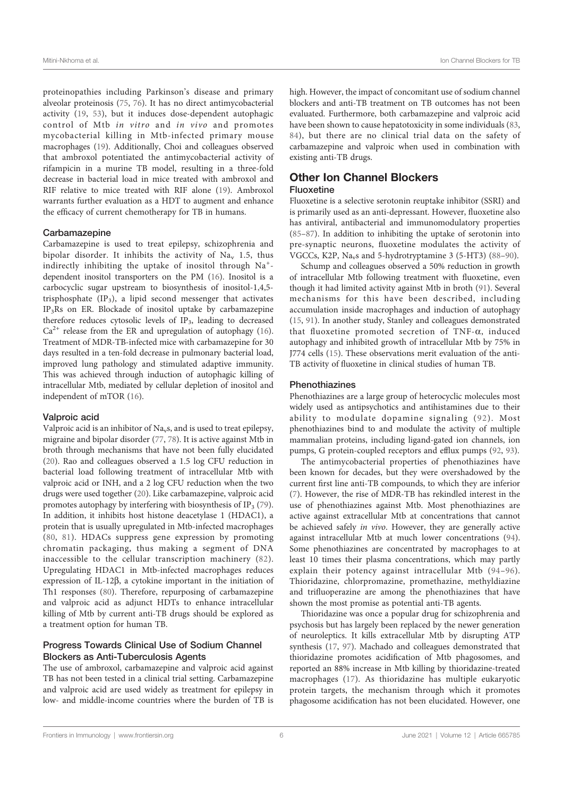proteinopathies including Parkinson's disease and primary alveolar proteinosis (75, 76). It has no direct antimycobacterial activity (19, 53), but it induces dose-dependent autophagic control of Mtb in vitro and in vivo and promotes mycobacterial killing in Mtb-infected primary mouse macrophages (19). Additionally, Choi and colleagues observed that ambroxol potentiated the antimycobacterial activity of rifampicin in a murine TB model, resulting in a three-fold decrease in bacterial load in mice treated with ambroxol and RIF relative to mice treated with RIF alone (19). Ambroxol warrants further evaluation as a HDT to augment and enhance the efficacy of current chemotherapy for TB in humans.

#### Carbamazepine

Carbamazepine is used to treat epilepsy, schizophrenia and bipolar disorder. It inhibits the activity of  $Na<sub>y</sub>$  1.5, thus indirectly inhibiting the uptake of inositol through Na<sup>+</sup>dependent inositol transporters on the PM (16). Inositol is a carbocyclic sugar upstream to biosynthesis of inositol-1,4,5 trisphosphate  $(IP_3)$ , a lipid second messenger that activates IP3Rs on ER. Blockade of inositol uptake by carbamazepine therefore reduces cytosolic levels of  $IP_3$ , leading to decreased  $Ca<sup>2+</sup>$  release from the ER and upregulation of autophagy (16). Treatment of MDR-TB-infected mice with carbamazepine for 30 days resulted in a ten-fold decrease in pulmonary bacterial load, improved lung pathology and stimulated adaptive immunity. This was achieved through induction of autophagic killing of intracellular Mtb, mediated by cellular depletion of inositol and independent of mTOR (16).

#### Valproic acid

Valproic acid is an inhibitor of  $Na<sub>v</sub>s$ , and is used to treat epilepsy, migraine and bipolar disorder (77, 78). It is active against Mtb in broth through mechanisms that have not been fully elucidated (20). Rao and colleagues observed a 1.5 log CFU reduction in bacterial load following treatment of intracellular Mtb with valproic acid or INH, and a 2 log CFU reduction when the two drugs were used together (20). Like carbamazepine, valproic acid promotes autophagy by interfering with biosynthesis of IP<sub>3</sub> (79). In addition, it inhibits host histone deacetylase 1 (HDAC1), a protein that is usually upregulated in Mtb-infected macrophages (80, 81). HDACs suppress gene expression by promoting chromatin packaging, thus making a segment of DNA inaccessible to the cellular transcription machinery (82). Upregulating HDAC1 in Mtb-infected macrophages reduces expression of IL-12 $\beta$ , a cytokine important in the initiation of Th1 responses (80). Therefore, repurposing of carbamazepine and valproic acid as adjunct HDTs to enhance intracellular killing of Mtb by current anti-TB drugs should be explored as a treatment option for human TB.

## Progress Towards Clinical Use of Sodium Channel Blockers as Anti-Tuberculosis Agents

The use of ambroxol, carbamazepine and valproic acid against TB has not been tested in a clinical trial setting. Carbamazepine and valproic acid are used widely as treatment for epilepsy in low- and middle-income countries where the burden of TB is high. However, the impact of concomitant use of sodium channel blockers and anti-TB treatment on TB outcomes has not been evaluated. Furthermore, both carbamazepine and valproic acid have been shown to cause hepatotoxicity in some individuals (83, 84), but there are no clinical trial data on the safety of carbamazepine and valproic when used in combination with existing anti-TB drugs.

## Other Ion Channel Blockers Fluoxetine

Fluoxetine is a selective serotonin reuptake inhibitor (SSRI) and is primarily used as an anti-depressant. However, fluoxetine also has antiviral, antibacterial and immunomodulatory properties (85–87). In addition to inhibiting the uptake of serotonin into pre-synaptic neurons, fluoxetine modulates the activity of VGCCs, K2P, Navs and 5-hydrotryptamine 3 (5-HT3) (88–90).

Schump and colleagues observed a 50% reduction in growth of intracellular Mtb following treatment with fluoxetine, even though it had limited activity against Mtb in broth (91). Several mechanisms for this have been described, including accumulation inside macrophages and induction of autophagy (15, 91). In another study, Stanley and colleagues demonstrated that fluoxetine promoted secretion of TNF- $\alpha$ , induced autophagy and inhibited growth of intracellular Mtb by 75% in J774 cells (15). These observations merit evaluation of the anti-TB activity of fluoxetine in clinical studies of human TB.

#### Phenothiazines

Phenothiazines are a large group of heterocyclic molecules most widely used as antipsychotics and antihistamines due to their ability to modulate dopamine signaling (92). Most phenothiazines bind to and modulate the activity of multiple mammalian proteins, including ligand-gated ion channels, ion pumps, G protein-coupled receptors and efflux pumps (92, 93).

The antimycobacterial properties of phenothiazines have been known for decades, but they were overshadowed by the current first line anti-TB compounds, to which they are inferior (7). However, the rise of MDR-TB has rekindled interest in the use of phenothiazines against Mtb. Most phenothiazines are active against extracellular Mtb at concentrations that cannot be achieved safely in vivo. However, they are generally active against intracellular Mtb at much lower concentrations (94). Some phenothiazines are concentrated by macrophages to at least 10 times their plasma concentrations, which may partly explain their potency against intracellular Mtb (94–96). Thioridazine, chlorpromazine, promethazine, methyldiazine and trifluoperazine are among the phenothiazines that have shown the most promise as potential anti-TB agents.

Thioridazine was once a popular drug for schizophrenia and psychosis but has largely been replaced by the newer generation of neuroleptics. It kills extracellular Mtb by disrupting ATP synthesis (17, 97). Machado and colleagues demonstrated that thioridazine promotes acidification of Mtb phagosomes, and reported an 88% increase in Mtb killing by thioridazine-treated macrophages (17). As thioridazine has multiple eukaryotic protein targets, the mechanism through which it promotes phagosome acidification has not been elucidated. However, one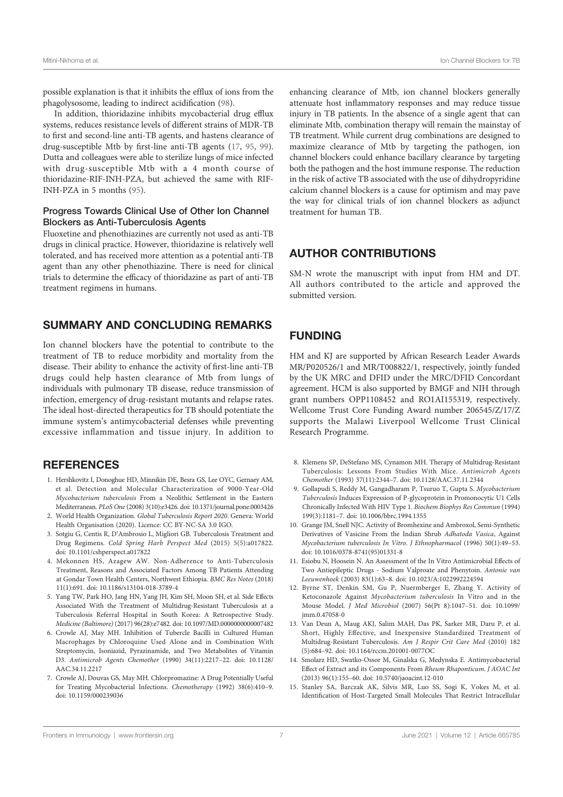possible explanation is that it inhibits the efflux of ions from the phagolysosome, leading to indirect acidification (98).

In addition, thioridazine inhibits mycobacterial drug efflux systems, reduces resistance levels of different strains of MDR-TB to first and second-line anti-TB agents, and hastens clearance of drug-susceptible Mtb by first-line anti-TB agents (17, 95, 99). Dutta and colleagues were able to sterilize lungs of mice infected with drug-susceptible Mtb with a 4 month course of thioridazine-RIF-INH-PZA, but achieved the same with RIF-INH-PZA in 5 months (95).

## Progress Towards Clinical Use of Other Ion Channel Blockers as Anti-Tuberculosis Agents

Fluoxetine and phenothiazines are currently not used as anti-TB drugs in clinical practice. However, thioridazine is relatively well tolerated, and has received more attention as a potential anti-TB agent than any other phenothiazine. There is need for clinical trials to determine the efficacy of thioridazine as part of anti-TB treatment regimens in humans.

# SUMMARY AND CONCLUDING REMARKS

Ion channel blockers have the potential to contribute to the treatment of TB to reduce morbidity and mortality from the disease. Their ability to enhance the activity of first-line anti-TB drugs could help hasten clearance of Mtb from lungs of individuals with pulmonary TB disease, reduce transmission of infection, emergency of drug-resistant mutants and relapse rates. The ideal host-directed therapeutics for TB should potentiate the immune system's antimycobacterial defenses while preventing excessive inflammation and tissue injury. In addition to

## **REFERENCES**

- 1. Hershkovitz I, Donoghue HD, Minnikin DE, Besra GS, Lee OYC, Gernaey AM, et al. Detection and Molecular Characterization of 9000-Year-Old Mycobacterium tuberculosis From a Neolithic Settlement in the Eastern Mediterranean. PLoS One(2008) 3(10):e3426. doi: 10.1371/journal.pone.0003426
- 2. World Health Organization. Global Tuberculosis Report 2020. Geneva: World Health Organisation (2020). Licence: CC BY-NC-SA 3.0 IGO.
- 3. Sotgiu G, Centis R, D'Ambrosio L, Migliori GB. Tuberculosis Treatment and Drug Regimens. Cold Spring Harb Perspect Med (2015) 5(5):a017822. doi: 10.1101/cshperspect.a017822
- 4. Mekonnen HS, Azagew AW. Non-Adherence to Anti-Tuberculosis Treatment, Reasons and Associated Factors Among TB Patients Attending at Gondar Town Health Centers, Northwest Ethiopia. BMC Res Notes (2018) 11(1):691. doi: 10.1186/s13104-018-3789-4
- 5. Yang TW, Park HO, Jang HN, Yang JH, Kim SH, Moon SH, et al. Side Effects Associated With the Treatment of Multidrug-Resistant Tuberculosis at a Tuberculosis Referral Hospital in South Korea: A Retrospective Study. Medicine (Baltimore) (2017) 96(28):e7482. doi: 10.1097/MD.0000000000007482
- 6. Crowle AJ, May MH. Inhibition of Tubercle Bacilli in Cultured Human Macrophages by Chloroquine Used Alone and in Combination With Streptomycin, Isoniazid, Pyrazinamide, and Two Metabolites of Vitamin D3. Antimicrob Agents Chemother (1990) 34(11):2217–22. doi: 10.1128/ AAC.34.11.2217
- 7. Crowle AJ, Douvas GS, May MH. Chlorpromazine: A Drug Potentially Useful for Treating Mycobacterial Infections. Chemotherapy (1992) 38(6):410–9. doi: 10.1159/000239036

enhancing clearance of Mtb, ion channel blockers generally attenuate host inflammatory responses and may reduce tissue injury in TB patients. In the absence of a single agent that can eliminate Mtb, combination therapy will remain the mainstay of TB treatment. While current drug combinations are designed to maximize clearance of Mtb by targeting the pathogen, ion channel blockers could enhance bacillary clearance by targeting both the pathogen and the host immune response. The reduction in the risk of active TB associated with the use of dihydropyridine calcium channel blockers is a cause for optimism and may pave the way for clinical trials of ion channel blockers as adjunct treatment for human TB.

# AUTHOR CONTRIBUTIONS

SM-N wrote the manuscript with input from HM and DT. All authors contributed to the article and approved the submitted version.

# FUNDING

HM and KJ are supported by African Research Leader Awards MR/P020526/1 and MR/T008822/1, respectively, jointly funded by the UK MRC and DFID under the MRC/DFID Concordant agreement. HCM is also supported by BMGF and NIH through grant numbers OPP1108452 and RO1AI155319, respectively. Wellcome Trust Core Funding Award number 206545/Z/17/Z supports the Malawi Liverpool Wellcome Trust Clinical Research Programme.

- 8. Klemens SP, DeStefano MS, Cynamon MH. Therapy of Multidrug-Resistant Tuberculosis: Lessons From Studies With Mice. Antimicrob Agents Chemother (1993) 37(11):2344–7. doi: 10.1128/AAC.37.11.2344
- 9. Gollapudi S, Reddy M, Gangadharam P, Tsuruo T, Gupta S. Mycobacterium Tuberculosis Induces Expression of P-glycoprotein in Promonocytic U1 Cells Chronically Infected With HIV Type 1. Biochem Biophys Res Commun (1994) 199(3):1181–7. doi: 10.1006/bbrc.1994.1355
- 10. Grange JM, Snell NJC. Activity of Bromhexine and Ambroxol, Semi-Synthetic Derivatives of Vasicine From the Indian Shrub Adhatoda Vasica, Against Mycobacterium tuberculosis In Vitro. J Ethnopharmacol (1996) 50(1):49–53. doi: 10.1016/0378-8741(95)01331-8
- 11. Esiobu N, Hoosein N. An Assessment of the In Vitro Antimicrobial Effects of Two Antiepileptic Drugs - Sodium Valproate and Phenytoin. Antonie van Leeuwenhoek (2003) 83(1):63–8. doi: 10.1023/A:1022992224594
- 12. Byrne ST, Denkin SM, Gu P, Nuermberger E, Zhang Y. Activity of Ketoconazole Against Mycobacterium tuberculosis In Vitro and in the Mouse Model. J Med Microbiol (2007) 56(Pt 8):1047–51. doi: 10.1099/ jmm.0.47058-0
- 13. Van Deun A, Maug AKJ, Salim MAH, Das PK, Sarker MR, Daru P, et al. Short, Highly Effective, and Inexpensive Standardized Treatment of Multidrug-Resistant Tuberculosis. Am J Respir Crit Care Med (2010) 182 (5):684–92. doi: 10.1164/rccm.201001-0077OC
- 14. Smolarz HD, Swatko-Ossor M, Ginalska G, Medynska E. Antimycobacterial Effect of Extract and its Components From Rheum Rhaponticum. J AOAC Int (2013) 96(1):155–60. doi: 10.5740/jaoacint.12-010
- 15. Stanley SA, Barczak AK, Silvis MR, Luo SS, Sogi K, Vokes M, et al. Identification of Host-Targeted Small Molecules That Restrict Intracellular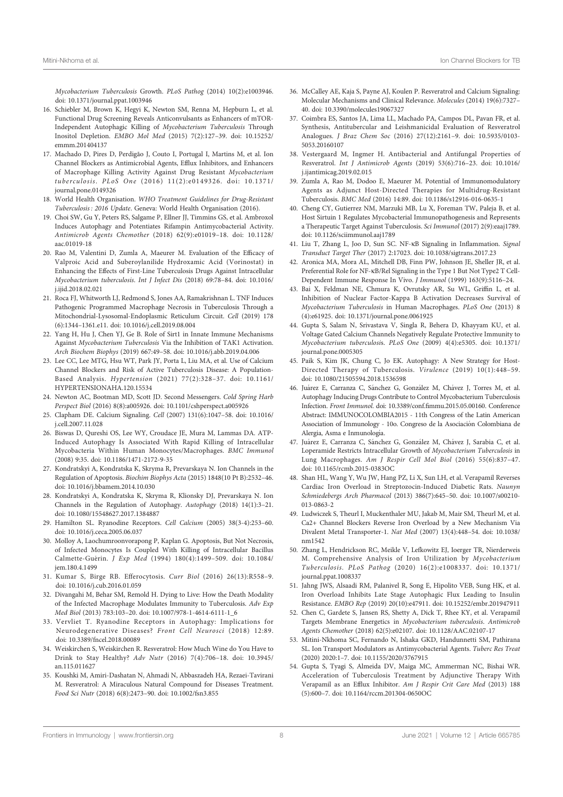Mycobacterium Tuberculosis Growth. PLoS Pathog (2014) 10(2):e1003946. doi: 10.1371/journal.ppat.1003946

- 16. Schiebler M, Brown K, Hegyi K, Newton SM, Renna M, Hepburn L, et al. Functional Drug Screening Reveals Anticonvulsants as Enhancers of mTOR-Independent Autophagic Killing of Mycobacterium Tuberculosis Through Inositol Depletion. EMBO Mol Med (2015) 7(2):127–39. doi: 10.15252/ emmm.201404137
- 17. Machado D, Pires D, Perdigão J, Couto I, Portugal I, Martins M, et al. Ion Channel Blockers as Antimicrobial Agents, Efflux Inhibitors, and Enhancers of Macrophage Killing Activity Against Drug Resistant Mycobacterium tuberculosis. PLoS One (2016) 11(2):e0149326. doi: 10.1371/ journal.pone.0149326
- 18. World Health Organisation. WHO Treatment Guidelines for Drug-Resistant Tuberculosis : 2016 Update. Geneva: World Health Organisation (2016).
- 19. Choi SW, Gu Y, Peters RS, Salgame P, Ellner JJ, Timmins GS, et al. Ambroxol Induces Autophagy and Potentiates Rifampin Antimycobacterial Activity. Antimicrob Agents Chemother (2018) 62(9):e01019–18. doi: 10.1128/ aac.01019-18
- 20. Rao M, Valentini D, Zumla A, Maeurer M. Evaluation of the Efficacy of Valproic Acid and Suberoylanilide Hydroxamic Acid (Vorinostat) in Enhancing the Effects of First-Line Tuberculosis Drugs Against Intracellular Mycobacterium tuberculosis. Int J Infect Dis (2018) 69:78–84. doi: 10.1016/ j.ijid.2018.02.021
- 21. Roca FJ, Whitworth LJ, Redmond S, Jones AA, Ramakrishnan L. TNF Induces Pathogenic Programmed Macrophage Necrosis in Tuberculosis Through a Mitochondrial-Lysosomal-Endoplasmic Reticulum Circuit. Cell (2019) 178 (6):1344–1361.e11. doi: 10.1016/j.cell.2019.08.004
- 22. Yang H, Hu J, Chen YJ, Ge B. Role of Sirt1 in Innate Immune Mechanisms Against Mycobacterium Tuberculosis Via the Inhibition of TAK1 Activation. Arch Biochem Biophys (2019) 667:49–58. doi: 10.1016/j.abb.2019.04.006
- 23. Lee CC, Lee MTG, Hsu WT, Park JY, Porta L, Liu MA, et al. Use of Calcium Channel Blockers and Risk of Active Tuberculosis Disease: A Population-Based Analysis. Hypertension (2021) 77(2):328–37. doi: 10.1161/ HYPERTENSIONAHA.120.15534
- 24. Newton AC, Bootman MD, Scott JD. Second Messengers. Cold Spring Harb Perspect Biol (2016) 8(8):a005926. doi: 10.1101/cshperspect.a005926
- 25. Clapham DE. Calcium Signaling. Cell (2007) 131(6):1047–58. doi: 10.1016/ j.cell.2007.11.028
- 26. Biswas D, Qureshi OS, Lee WY, Croudace JE, Mura M, Lammas DA. ATP-Induced Autophagy Is Associated With Rapid Killing of Intracellular Mycobacteria Within Human Monocytes/Macrophages. BMC Immunol (2008) 9:35. doi: 10.1186/1471-2172-9-35
- 27. Kondratskyi A, Kondratska K, Skryma R, Prevarskaya N. Ion Channels in the Regulation of Apoptosis. Biochim Biophys Acta (2015) 1848(10 Pt B):2532–46. doi: 10.1016/j.bbamem.2014.10.030
- 28. Kondratskyi A, Kondratska K, Skryma R, Klionsky DJ, Prevarskaya N. Ion Channels in the Regulation of Autophagy. Autophagy (2018) 14(1):3–21. doi: 10.1080/15548627.2017.1384887
- 29. Hamilton SL. Ryanodine Receptors. Cell Calcium (2005) 38(3-4):253–60. doi: 10.1016/j.ceca.2005.06.037
- 30. Molloy A, Laochumroonvorapong P, Kaplan G. Apoptosis, But Not Necrosis, of Infected Monocytes Is Coupled With Killing of Intracellular Bacillus Calmette-Guérin. J Exp Med (1994) 180(4):1499–509. doi: 10.1084/ jem.180.4.1499
- 31. Kumar S, Birge RB. Efferocytosis. Curr Biol (2016) 26(13):R558–9. doi: 10.1016/j.cub.2016.01.059
- 32. Divangahi M, Behar SM, Remold H. Dying to Live: How the Death Modality of the Infected Macrophage Modulates Immunity to Tuberculosis. Adv Exp Med Biol (2013) 783:103–20. doi: 10.1007/978-1-4614-6111-1\_6
- 33. Vervliet T. Ryanodine Receptors in Autophagy: Implications for Neurodegenerative Diseases? Front Cell Neurosci (2018) 12:89. doi: 10.3389/fncel.2018.00089
- 34. Weiskirchen S, Weiskirchen R. Resveratrol: How Much Wine do You Have to Drink to Stay Healthy? Adv Nutr (2016) 7(4):706–18. doi: 10.3945/ an.115.011627
- 35. Koushki M, Amiri-Dashatan N, Ahmadi N, Abbaszadeh HA, Rezaei-Tavirani M. Resveratrol: A Miraculous Natural Compound for Diseases Treatment. Food Sci Nutr (2018) 6(8):2473–90. doi: 10.1002/fsn3.855
- 36. McCalley AE, Kaja S, Payne AJ, Koulen P. Resveratrol and Calcium Signaling: Molecular Mechanisms and Clinical Relevance. Molecules (2014) 19(6):7327– 40. doi: 10.3390/molecules19067327
- 37. Coimbra ES, Santos JA, Lima LL, Machado PA, Campos DL, Pavan FR, et al. Synthesis, Antitubercular and Leishmanicidal Evaluation of Resveratrol Analogues. J Braz Chem Soc (2016) 27(12):2161–9. doi: 10.5935/0103- 5053.20160107
- 38. Vestergaard M, Ingmer H. Antibacterial and Antifungal Properties of Resveratrol. Int J Antimicrob Agents (2019) 53(6):716–23. doi: 10.1016/ j.ijantimicag.2019.02.015
- 39. Zumla A, Rao M, Dodoo E, Maeurer M. Potential of Immunomodulatory Agents as Adjunct Host-Directed Therapies for Multidrug-Resistant Tuberculosis. BMC Med (2016) 14:89. doi: 10.1186/s12916-016-0635-1
- 40. Cheng CY, Gutierrez NM, Marzuki MB, Lu X, Foreman TW, Paleja B, et al. Host Sirtuin 1 Regulates Mycobacterial Immunopathogenesis and Represents a Therapeutic Target Against Tuberculosis. Sci Immunol (2017) 2(9):eaaj1789. doi: 10.1126/sciimmunol.aaj1789
- 41. Liu T, Zhang L, Joo D, Sun SC. NF-kB Signaling in Inflammation. Signal Transduct Target Ther (2017) 2:17023. doi: 10.1038/sigtrans.2017.23
- 42. Aronica MA, Mora AL, Mitchell DB, Finn PW, Johnson JE, Sheller JR, et al. Preferential Role for NF-kB/Rel Signaling in the Type 1 But Not Type2 T Cell-Dependent Immune Response In Vivo. J Immunol (1999) 163(9):5116–24.
- 43. Bai X, Feldman NE, Chmura K, Ovrutsky AR, Su WL, Griffin L, et al. Inhibition of Nuclear Factor-Kappa B Activation Decreases Survival of Mycobacterium Tuberculosis in Human Macrophages. PLoS One (2013) 8 (4):e61925. doi: 10.1371/journal.pone.0061925
- 44. Gupta S, Salam N, Srivastava V, Singla R, Behera D, Khayyam KU, et al. Voltage Gated Calcium Channels Negatively Regulate Protective Immunity to Mycobacterium tuberculosis. PLoS One (2009) 4(4):e5305. doi: 10.1371/ journal.pone.0005305
- 45. Paik S, Kim JK, Chung C, Jo EK. Autophagy: A New Strategy for Host-Directed Therapy of Tuberculosis. Virulence (2019) 10(1):448–59. doi: 10.1080/21505594.2018.1536598
- 46. Juá rez E, Carranza C, Sánchez G, Gonzá lez M, Chávez J, Torres M, et al. Autophagy Inducing Drugs Contribute to Control Mycobacterium Tuberculosis Infection. Front Immunol. doi: 10.3389/conf.fimmu.2015.05.00160. Conference Abstract: IMMUNOCOLOMBIA2015 - 11th Congress of the Latin American Association of Immunology - 10o. Congreso de la Asociación Colombiana de Alergia, Asma e Inmunología.
- 47. Juárez E, Carranza C, Sánchez G, González M, Chávez J, Sarabia C, et al. Loperamide Restricts Intracellular Growth of Mycobacterium Tuberculosis in Lung Macrophages. Am J Respir Cell Mol Biol (2016) 55(6):837–47. doi: 10.1165/rcmb.2015-0383OC
- 48. Shan HL, Wang Y, Wu JW, Hang PZ, Li X, Sun LH, et al. Verapamil Reverses Cardiac Iron Overload in Streptozocin-Induced Diabetic Rats. Naunyn Schmiedebergs Arch Pharmacol (2013) 386(7):645–50. doi: 10.1007/s00210- 013-0863-2
- 49. Ludwiczek S, Theurl I, Muckenthaler MU, Jakab M, Mair SM, Theurl M, et al. Ca2+ Channel Blockers Reverse Iron Overload by a New Mechanism Via Divalent Metal Transporter-1. Nat Med (2007) 13(4):448–54. doi: 10.1038/ nm1542
- 50. Zhang L, Hendrickson RC, Meikle V, Lefkowitz EJ, Ioerger TR, Nierderweis M. Comprehensive Analysis of Iron Utilization by Mycobacterium Tuberculosis. PLoS Pathog (2020) 16(2):e1008337. doi: 10.1371/ journal.ppat.1008337
- 51. Jahng JWS, Alsaadi RM, Palanivel R, Song E, Hipolito VEB, Sung HK, et al. Iron Overload Inhibits Late Stage Autophagic Flux Leading to Insulin Resistance. EMBO Rep (2019) 20(10):e47911. doi: 10.15252/embr.201947911
- 52. Chen C, Gardete S, Jansen RS, Shetty A, Dick T, Rhee KY, et al. Verapamil Targets Membrane Energetics in Mycobacterium tuberculosis. Antimicrob Agents Chemother (2018) 62(5):e02107. doi: 10.1128/AAC.02107-17
- 53. Mitini-Nkhoma SC, Fernando N, Ishaka GKD, Handunnetti SM, Pathirana SL. Ion Transport Modulators as Antimycobacterial Agents. Tuberc Res Treat (2020) 2020:1–7. doi: 10.1155/2020/3767915
- 54. Gupta S, Tyagi S, Almeida DV, Maiga MC, Ammerman NC, Bishai WR. Acceleration of Tuberculosis Treatment by Adjunctive Therapy With Verapamil as an Efflux Inhibitor. Am J Respir Crit Care Med (2013) 188 (5):600–7. doi: 10.1164/rccm.201304-0650OC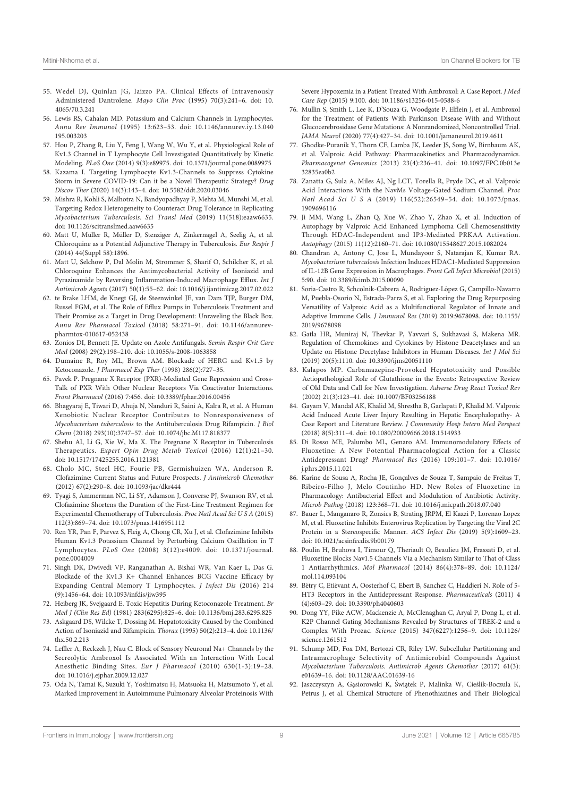- 55. Wedel DJ, Quinlan JG, Iaizzo PA. Clinical Effects of Intravenously Administered Dantrolene. Mayo Clin Proc (1995) 70(3):241–6. doi: 10. 4065/70.3.241
- 56. Lewis RS, Cahalan MD. Potassium and Calcium Channels in Lymphocytes. Annu Rev Immunol (1995) 13:623–53. doi: 10.1146/annurev.iy.13.040 195.003203
- 57. Hou P, Zhang R, Liu Y, Feng J, Wang W, Wu Y, et al. Physiological Role of Kv1.3 Channel in T Lymphocyte Cell Investigated Quantitatively by Kinetic Modeling. PLoS One (2014) 9(3):e89975. doi: 10.1371/journal.pone.0089975
- 58. Kazama I. Targeting Lymphocyte Kv1.3-Channels to Suppress Cytokine Storm in Severe COVID-19: Can it be a Novel Therapeutic Strategy? Drug Discov Ther (2020) 14(3):143–4. doi: 10.5582/ddt.2020.03046
- 59. Mishra R, Kohli S, Malhotra N, Bandyopadhyay P, Mehta M, Munshi M, et al. Targeting Redox Heterogeneity to Counteract Drug Tolerance in Replicating Mycobacterium Tuberculosis. Sci Transl Med (2019) 11(518):eaaw6635. doi: 10.1126/scitranslmed.aaw6635
- 60. Matt U, Müller R, Müller D, Stenziger A, Zinkernagel A, Seelig A, et al. Chloroquine as a Potential Adjunctive Therapy in Tuberculosis. Eur Respir J (2014) 44(Suppl 58):1896.
- 61. Matt U, Selchow P, Dal Molin M, Strommer S, Sharif O, Schilcher K, et al. Chloroquine Enhances the Antimycobacterial Activity of Isoniazid and Pyrazinamide by Reversing Inflammation-Induced Macrophage Efflux. Int J Antimicrob Agents (2017) 50(1):55–62. doi: 10.1016/j.ijantimicag.2017.02.022
- 62. te Brake LHM, de Knegt GJ, de Steenwinkel JE, van Dam TJP, Burger DM, Russel FGM, et al. The Role of Efflux Pumps in Tuberculosis Treatment and Their Promise as a Target in Drug Development: Unraveling the Black Box. Annu Rev Pharmacol Toxicol (2018) 58:271–91. doi: 10.1146/annurevpharmtox-010617-052438
- 63. Zonios DI, Bennett JE. Update on Azole Antifungals. Semin Respir Crit Care Med (2008) 29(2):198–210. doi: 10.1055/s-2008-1063858
- 64. Dumaine R, Roy ML, Brown AM. Blockade of HERG and Kv1.5 by Ketoconazole. J Pharmacol Exp Ther (1998) 286(2):727–35.
- 65. Pavek P. Pregnane X Receptor (PXR)-Mediated Gene Repression and Cross-Talk of PXR With Other Nuclear Receptors Via Coactivator Interactions. Front Pharmacol (2016) 7:456. doi: 10.3389/fphar.2016.00456
- 66. Bhagyaraj E, Tiwari D, Ahuja N, Nanduri R, Saini A, Kalra R, et al. A Human Xenobiotic Nuclear Receptor Contributes to Nonresponsiveness of Mycobacterium tuberculosis to the Antituberculosis Drug Rifampicin. J Biol Chem (2018) 293(10):3747–57. doi: 10.1074/jbc.M117.818377
- 67. Shehu AI, Li G, Xie W, Ma X. The Pregnane X Receptor in Tuberculosis Therapeutics. Expert Opin Drug Metab Toxicol (2016) 12(1):21–30. doi: 10.1517/17425255.2016.1121381
- 68. Cholo MC, Steel HC, Fourie PB, Germishuizen WA, Anderson R. Clofazimine: Current Status and Future Prospects. J Antimicrob Chemother (2012) 67(2):290–8. doi: 10.1093/jac/dkr444
- 69. Tyagi S, Ammerman NC, Li SY, Adamson J, Converse PJ, Swanson RV, et al. Clofazimine Shortens the Duration of the First-Line Treatment Regimen for Experimental Chemotherapy of Tuberculosis. Proc Natl Acad Sci U S A (2015) 112(3):869–74. doi: 10.1073/pnas.1416951112
- 70. Ren YR, Pan F, Parvez S, Fleig A, Chong CR, Xu J, et al. Clofazimine Inhibits Human Kv1.3 Potassium Channel by Perturbing Calcium Oscillation in T Lymphocytes. PLoS One (2008) 3(12):e4009. doi: 10.1371/journal. pone.0004009
- 71. Singh DK, Dwivedi VP, Ranganathan A, Bishai WR, Van Kaer L, Das G. Blockade of the Kv1.3 K+ Channel Enhances BCG Vaccine Efficacy by Expanding Central Memory T Lymphocytes. J Infect Dis (2016) 214 (9):1456–64. doi: 10.1093/infdis/jiw395
- 72. Heiberg JK, Svejgaard E. Toxic Hepatitis During Ketoconazole Treatment. Br Med J (Clin Res Ed) (1981) 283(6295):825–6. doi: 10.1136/bmj.283.6295.825
- 73. Askgaard DS, Wilcke T, Dossing M. Hepatotoxicity Caused by the Combined Action of Isoniazid and Rifampicin. Thorax (1995) 50(2):213–4. doi: 10.1136/ thx.50.2.213
- 74. Leffler A, Reckzeh J, Nau C. Block of Sensory Neuronal Na+ Channels by the Secreolytic Ambroxol Is Associated With an Interaction With Local Anesthetic Binding Sites. Eur J Pharmacol (2010) 630(1-3):19–28. doi: 10.1016/j.ejphar.2009.12.027
- 75. Oda N, Tamai K, Suzuki Y, Yoshimatsu H, Matsuoka H, Matsumoto Y, et al. Marked Improvement in Autoimmune Pulmonary Alveolar Proteinosis With

Severe Hypoxemia in a Patient Treated With Ambroxol: A Case Report. J Med Case Rep (2015) 9:100. doi: 10.1186/s13256-015-0588-6

- 76. Mullin S, Smith L, Lee K, D'Souza G, Woodgate P, Elflein J, et al. Ambroxol for the Treatment of Patients With Parkinson Disease With and Without Glucocerebrosidase Gene Mutations: A Nonrandomized, Noncontrolled Trial. JAMA Neurol (2020) 77(4):427–34. doi: 10.1001/jamaneurol.2019.4611
- 77. Ghodke-Puranik Y, Thorn CF, Lamba JK, Leeder JS, Song W, Birnbaum AK, et al. Valproic Acid Pathway: Pharmacokinetics and Pharmacodynamics. Pharmacogenet Genomics (2013) 23(4):236–41. doi: 10.1097/FPC.0b013e 32835ea0b2
- 78. Zanatta G, Sula A, Miles AJ, Ng LCT, Torella R, Pryde DC, et al. Valproic Acid Interactions With the NavMs Voltage-Gated Sodium Channel. Proc Natl Acad Sci U S A (2019) 116(52):26549–54. doi: 10.1073/pnas. 1909696116
- 79. Ji MM, Wang L, Zhan Q, Xue W, Zhao Y, Zhao X, et al. Induction of Autophagy by Valproic Acid Enhanced Lymphoma Cell Chemosensitivity Through HDAC-Independent and IP3-Mediated PRKAA Activation. Autophagy (2015) 11(12):2160–71. doi: 10.1080/15548627.2015.1082024
- 80. Chandran A, Antony C, Jose L, Mundayoor S, Natarajan K, Kumar RA. Mycobacterium tuberculosis Infection Induces HDAC1-Mediated Suppression of IL-12B Gene Expression in Macrophages. Front Cell Infect Microbiol (2015) 5:90. doi: 10.3389/fcimb.2015.00090
- 81. Soria-Castro R, Schcolnik-Cabrera A, Rodríguez-López G, Campillo-Navarro M, Puebla-Osorio N, Estrada-Parra S, et al. Exploring the Drug Repurposing Versatility of Valproic Acid as a Multifunctional Regulator of Innate and Adaptive Immune Cells. J Immunol Res (2019) 2019:9678098. doi: 10.1155/ 2019/9678098
- 82. Gatla HR, Muniraj N, Thevkar P, Yavvari S, Sukhavasi S, Makena MR. Regulation of Chemokines and Cytokines by Histone Deacetylases and an Update on Histone Decetylase Inhibitors in Human Diseases. Int J Mol Sci (2019) 20(5):1110. doi: 10.3390/ijms20051110
- 83. Kalapos MP. Carbamazepine-Provoked Hepatotoxicity and Possible Aetiopathological Role of Glutathione in the Events: Retrospective Review of Old Data and Call for New Investigation. Adverse Drug React Toxicol Rev (2002) 21(3):123–41. doi: 10.1007/BF03256188
- 84. Gayam V, Mandal AK, Khalid M, Shrestha B, Garlapati P, Khalid M. Valproic Acid Induced Acute Liver Injury Resulting in Hepatic Encephalopathy- A Case Report and Literature Review. J Community Hosp Intern Med Perspect (2018) 8(5):311–4. doi: 10.1080/20009666.2018.1514933
- 85. Di Rosso ME, Palumbo ML, Genaro AM. Immunomodulatory Effects of Fluoxetine: A New Potential Pharmacological Action for a Classic Antidepressant Drug? Pharmacol Res (2016) 109:101–7. doi: 10.1016/ j.phrs.2015.11.021
- 86. Karine de Sousa A, Rocha JE, Gonçalves de Souza T, Sampaio de Freitas T, Ribeiro-Filho J, Melo Coutinho HD. New Roles of Fluoxetine in Pharmacology: Antibacterial Effect and Modulation of Antibiotic Activity. Microb Pathog (2018) 123:368–71. doi: 10.1016/j.micpath.2018.07.040
- 87. Bauer L, Manganaro R, Zonsics B, Strating JRPM, El Kazzi P, Lorenzo Lopez M, et al. Fluoxetine Inhibits Enterovirus Replication by Targeting the Viral 2C Protein in a Stereospecific Manner. ACS Infect Dis (2019) 5(9):1609–23. doi: 10.1021/acsinfecdis.9b00179
- 88. Poulin H, Bruhova I, Timour Q, Theriault O, Beaulieu JM, Frassati D, et al. Fluoxetine Blocks Nav1.5 Channels Via a Mechanism Similar to That of Class 1 Antiarrhythmics. Mol Pharmacol (2014) 86(4):378–89. doi: 10.1124/ mol.114.093104
- 89. Bétry C, Etiévant A, Oosterhof C, Ebert B, Sanchez C, Haddjeri N. Role of 5-HT3 Receptors in the Antidepressant Response. Pharmaceuticals (2011) 4 (4):603–29. doi: 10.3390/ph4040603
- 90. Dong YY, Pike ACW, Mackenzie A, McClenaghan C, Aryal P, Dong L, et al. K2P Channel Gating Mechanisms Revealed by Structures of TREK-2 and a Complex With Prozac. Science (2015) 347(6227):1256–9. doi: 10.1126/ science.1261512
- 91. Schump MD, Fox DM, Bertozzi CR, Riley LW. Subcellular Partitioning and Intramacrophage Selectivity of Antimicrobial Compounds Against Mycobacterium Tuberculosis. Antimicrob Agents Chemother (2017) 61(3): e01639–16. doi: 10.1128/AAC.01639-16
- 92. Jaszczyszyn A, Ga̧ siorowski K, Ś wia̧ tek P, Malinka W, Cieś lik-Boczula K, Petrus J, et al. Chemical Structure of Phenothiazines and Their Biological